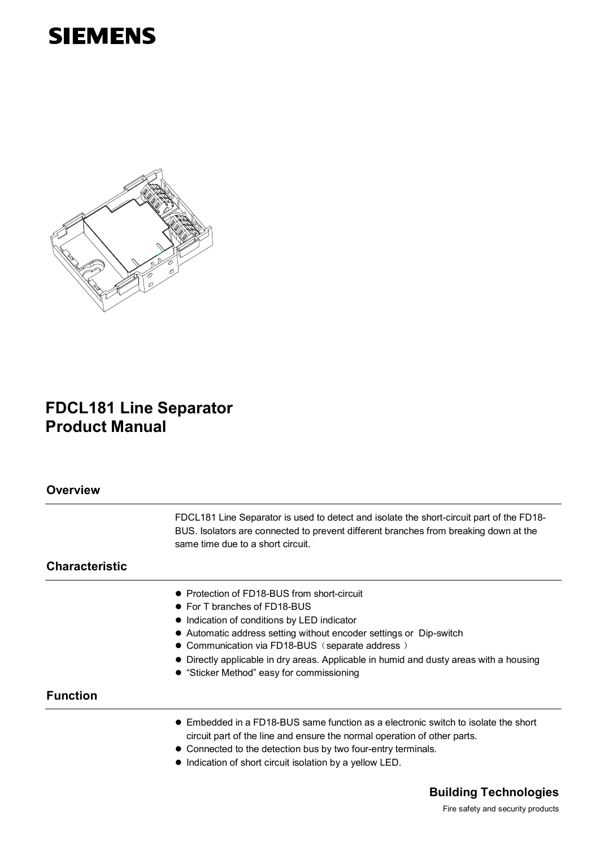# **SIEMENS**



# **FDCL181 Line Separator Product Manual**

| <b>Overview</b>       |                                                                                                                                                                                                                                                                                                                                                                                            |
|-----------------------|--------------------------------------------------------------------------------------------------------------------------------------------------------------------------------------------------------------------------------------------------------------------------------------------------------------------------------------------------------------------------------------------|
|                       | FDCL181 Line Separator is used to detect and isolate the short-circuit part of the FD18-<br>BUS. Isolators are connected to prevent different branches from breaking down at the<br>same time due to a short circuit.                                                                                                                                                                      |
| <b>Characteristic</b> |                                                                                                                                                                                                                                                                                                                                                                                            |
|                       | • Protection of FD18-BUS from short-circuit<br>• For T branches of FD18-BUS<br>• Indication of conditions by LED indicator<br>• Automatic address setting without encoder settings or Dip-switch<br>• Communication via FD18-BUS (separate address)<br>• Directly applicable in dry areas. Applicable in humid and dusty areas with a housing<br>• "Sticker Method" easy for commissioning |
| <b>Function</b>       |                                                                                                                                                                                                                                                                                                                                                                                            |
|                       | • Embedded in a FD18-BUS same function as a electronic switch to isolate the short<br>circuit part of the line and ensure the normal operation of other parts.<br>• Connected to the detection bus by two four-entry terminals.<br>• Indication of short circuit isolation by a yellow LED.                                                                                                |

# **Building Technologies**

Fire safety and security products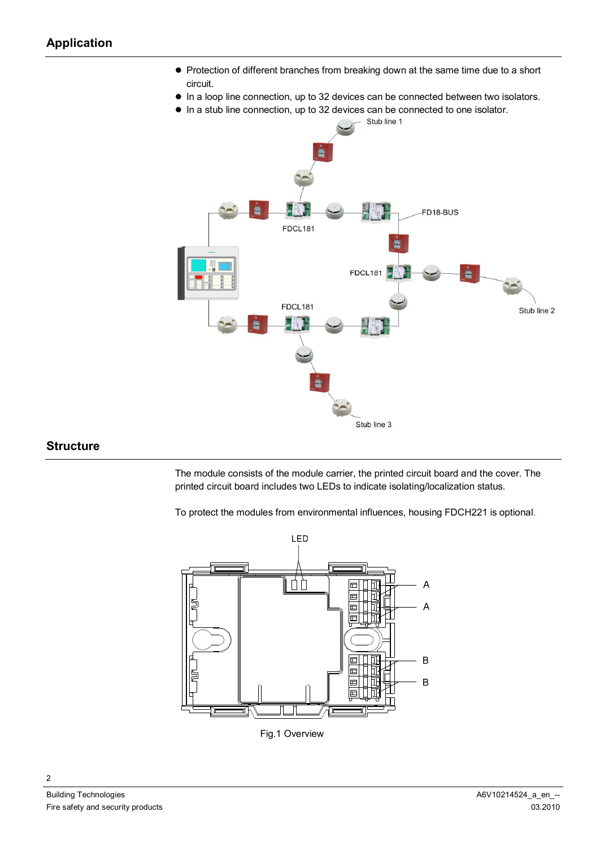- Protection of different branches from breaking down at the same time due to a short circuit.
- $\bullet$  In a loop line connection, up to 32 devices can be connected between two isolators.
- $\bullet$  In a stub line connection, up to 32 devices can be connected to one isolator.



#### **Structure**

The module consists of the module carrier, the printed circuit board and the cover. The printed circuit board includes two LEDs to indicate isolating/localization status.

To protect the modules from environmental influences, housing FDCH221 is optional.



Fig.1 Overview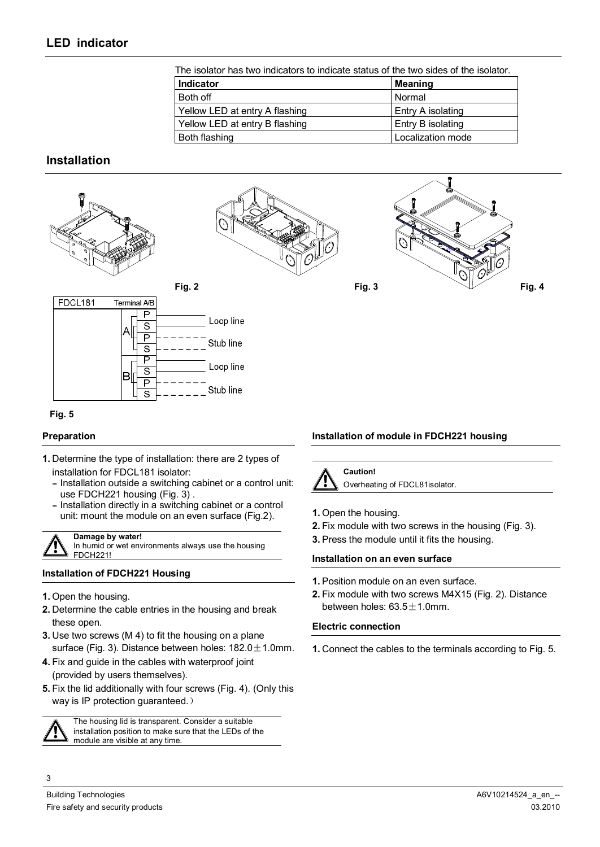| The isolator has two indicators to indicate status of the two sides of the isolator. |                   |  |  |  |
|--------------------------------------------------------------------------------------|-------------------|--|--|--|
| <b>Indicator</b>                                                                     | Meaning           |  |  |  |
| Both off                                                                             | Normal            |  |  |  |
| Yellow LED at entry A flashing                                                       | Entry A isolating |  |  |  |
| Yellow LED at entry B flashing                                                       | Entry B isolating |  |  |  |
| Both flashing                                                                        | Localization mode |  |  |  |

# **Installation**



#### **Preparation**

- **1.** Determine the type of installation: there are 2 types of installation for FDCL181 isolator:
	- **–** Installation outside a switching cabinet or a control unit: use FDCH221 housing (Fig. 3) .
	- **–** Installation directly in a switching cabinet or a control unit: mount the module on an even surface (Fig.2).

**Damage by water!** 

In humid or wet environments always use the housing FDCH221!

#### **Installation of FDCH221 Housing**

- **1.** Open the housing.
- **2.** Determine the cable entries in the housing and break these open.
- **3.** Use two screws (M 4) to fit the housing on a plane surface (Fig. 3). Distance between holes:  $182.0 \pm 1.0$ mm.
- **4.** Fix and guide in the cables with waterproof joint (provided by users themselves).
- **5.** Fix the lid additionally with four screws (Fig. 4). (Only this way is IP protection guaranteed.)



The housing lid is transparent. Consider a suitable installation position to make sure that the LEDs of the module are visible at any time.

#### **Installation of module in FDCH221 housing**

**Caution!**  Overheating of FDCL81isolator.

- **1.** Open the housing.
- **2.** Fix module with two screws in the housing (Fig. 3).
- **3.** Press the module until it fits the housing.

#### **Installation on an even surface**

- **1.** Position module on an even surface.
- **2.** Fix module with two screws M4X15 (Fig. 2). Distance between holes:  $63.5 \pm 1.0$ mm.

#### **Electric connection**

**1.** Connect the cables to the terminals according to Fig. 5.